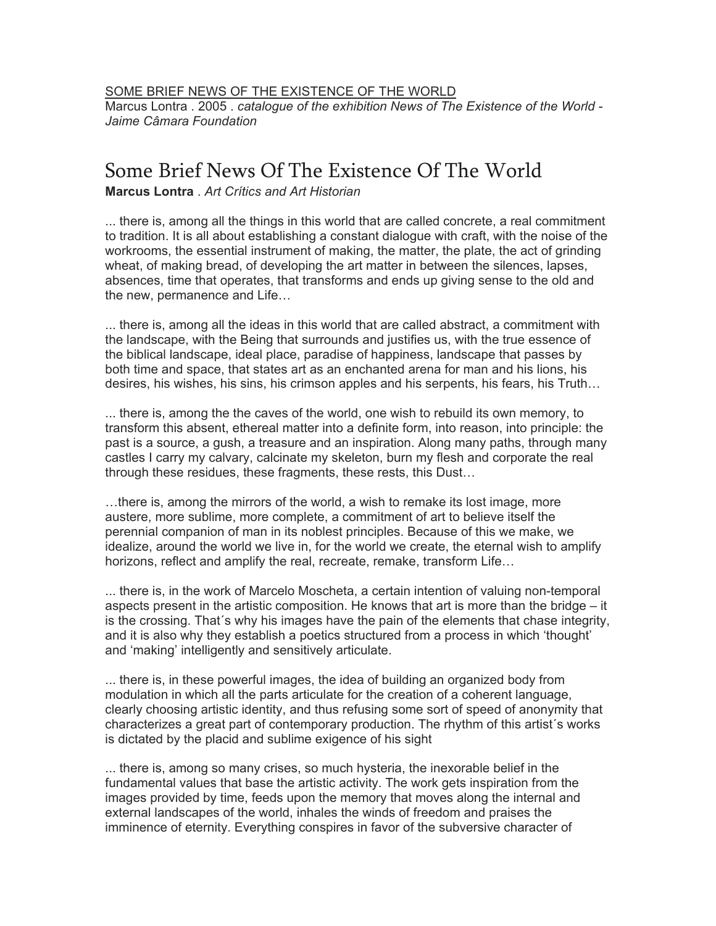[SOME BRIEF NEWS OF THE EXISTENCE OF THE WORLD](http://cargocollective.com/marcelomoscheta/Some-Brief-News-Of-The-Existence-Of-The-World)

Marcus Lontra . 2005 . *catalogue of the exhibition News of The Existence of the World - Jaime Câmara Foundation*

## Some Brief News Of The Existence Of The World

**Marcus Lontra** . *Art Crítics and Art Historian*

... there is, among all the things in this world that are called concrete, a real commitment to tradition. It is all about establishing a constant dialogue with craft, with the noise of the workrooms, the essential instrument of making, the matter, the plate, the act of grinding wheat, of making bread, of developing the art matter in between the silences, lapses, absences, time that operates, that transforms and ends up giving sense to the old and the new, permanence and Life…

... there is, among all the ideas in this world that are called abstract, a commitment with the landscape, with the Being that surrounds and justifies us, with the true essence of the biblical landscape, ideal place, paradise of happiness, landscape that passes by both time and space, that states art as an enchanted arena for man and his lions, his desires, his wishes, his sins, his crimson apples and his serpents, his fears, his Truth…

... there is, among the the caves of the world, one wish to rebuild its own memory, to transform this absent, ethereal matter into a definite form, into reason, into principle: the past is a source, a gush, a treasure and an inspiration. Along many paths, through many castles I carry my calvary, calcinate my skeleton, burn my flesh and corporate the real through these residues, these fragments, these rests, this Dust…

…there is, among the mirrors of the world, a wish to remake its lost image, more austere, more sublime, more complete, a commitment of art to believe itself the perennial companion of man in its noblest principles. Because of this we make, we idealize, around the world we live in, for the world we create, the eternal wish to amplify horizons, reflect and amplify the real, recreate, remake, transform Life…

... there is, in the work of Marcelo Moscheta, a certain intention of valuing non-temporal aspects present in the artistic composition. He knows that art is more than the bridge – it is the crossing. That´s why his images have the pain of the elements that chase integrity, and it is also why they establish a poetics structured from a process in which 'thought' and 'making' intelligently and sensitively articulate.

... there is, in these powerful images, the idea of building an organized body from modulation in which all the parts articulate for the creation of a coherent language, clearly choosing artistic identity, and thus refusing some sort of speed of anonymity that characterizes a great part of contemporary production. The rhythm of this artist´s works is dictated by the placid and sublime exigence of his sight

... there is, among so many crises, so much hysteria, the inexorable belief in the fundamental values that base the artistic activity. The work gets inspiration from the images provided by time, feeds upon the memory that moves along the internal and external landscapes of the world, inhales the winds of freedom and praises the imminence of eternity. Everything conspires in favor of the subversive character of